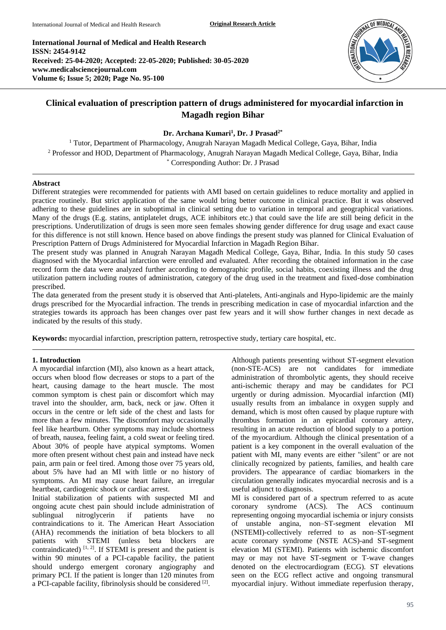**International Journal of Medical and Health Research ISSN: 2454-9142 Received: 25-04-2020; Accepted: 22-05-2020; Published: 30-05-2020 www.medicalsciencejournal.com Volume 6; Issue 5; 2020; Page No. 95-100**



# **Clinical evaluation of prescription pattern of drugs administered for myocardial infarction in Magadh region Bihar**

### **Dr. Archana Kumari<sup>1</sup> , Dr. J Prasad2\***

<sup>1</sup> Tutor, Department of Pharmacology, Anugrah Narayan Magadh Medical College, Gaya, Bihar, India <sup>2</sup> Professor and HOD, Department of Pharmacology, Anugrah Narayan Magadh Medical College, Gaya, Bihar, India \* Corresponding Author: Dr. J Prasad

### **Abstract**

Different strategies were recommended for patients with AMI based on certain guidelines to reduce mortality and applied in practice routinely. But strict application of the same would bring better outcome in clinical practice. But it was observed adhering to these guidelines are in suboptimal in clinical setting due to variation in temporal and geographical variations. Many of the drugs (E.g. statins, antiplatelet drugs, ACE inhibitors etc.) that could save the life are still being deficit in the prescriptions. Underutilization of drugs is seen more seen females showing gender difference for drug usage and exact cause for this difference is not still known. Hence based on above findings the present study was planned for Clinical Evaluation of Prescription Pattern of Drugs Administered for Myocardial Infarction in Magadh Region Bihar.

The present study was planned in Anugrah Narayan Magadh Medical College, Gaya, Bihar, India. In this study 50 cases diagnosed with the Myocardial infarction were enrolled and evaluated. After recording the obtained information in the case record form the data were analyzed further according to demographic profile, social habits, coexisting illness and the drug utilization pattern including routes of administration, category of the drug used in the treatment and fixed-dose combination prescribed.

The data generated from the present study it is observed that Anti-platelets, Anti-anginals and Hypo-lipidemic are the mainly drugs prescribed for the Myocardial infraction. The trends in prescribing medication in case of myocardial infarction and the strategies towards its approach has been changes over past few years and it will show further changes in next decade as indicated by the results of this study.

**Keywords:** myocardial infarction, prescription pattern, retrospective study, tertiary care hospital, etc.

#### **1. Introduction**

A myocardial infarction (MI), also known as a heart attack, occurs when blood flow decreases or stops to a part of the heart, causing damage to the heart muscle. The most common symptom is chest pain or discomfort which may travel into the shoulder, arm, back, neck or jaw. Often it occurs in the centre or left side of the chest and lasts for more than a few minutes. The discomfort may occasionally feel like heartburn. Other symptoms may include shortness of breath, nausea, feeling faint, a cold sweat or feeling tired. About 30% of people have atypical symptoms. Women more often present without chest pain and instead have neck pain, arm pain or feel tired. Among those over 75 years old, about 5% have had an MI with little or no history of symptoms. An MI may cause heart failure, an irregular heartbeat, cardiogenic shock or cardiac arrest.

Initial stabilization of patients with suspected MI and ongoing acute chest pain should include administration of sublingual nitroglycerin if patients have no contraindications to it. The American Heart Association (AHA) recommends the initiation of beta blockers to all patients with STEMI (unless beta blockers are contraindicated)  $[1, 2]$ . If STEMI is present and the patient is within 90 minutes of a PCI-capable facility, the patient should undergo emergent coronary angiography and primary PCI. If the patient is longer than 120 minutes from a PCI-capable facility, fibrinolysis should be considered [2].

Although patients presenting without ST-segment elevation (non-STE-ACS) are not candidates for immediate administration of thrombolytic agents, they should receive anti-ischemic therapy and may be candidates for PCI urgently or during admission. Myocardial infarction (MI) usually results from an imbalance in oxygen supply and demand, which is most often caused by plaque rupture with thrombus formation in an epicardial coronary artery, resulting in an acute reduction of blood supply to a portion of the myocardium. Although the clinical presentation of a patient is a key component in the overall evaluation of the patient with MI, many events are either "silent" or are not clinically recognized by patients, families, and health care providers. The appearance of cardiac biomarkers in the circulation generally indicates myocardial necrosis and is a useful adjunct to diagnosis.

MI is considered part of a spectrum referred to as acute coronary syndrome (ACS). The ACS continuum representing ongoing myocardial ischemia or injury consists of unstable angina, non–ST-segment elevation MI (NSTEMI)-collectively referred to as non–ST-segment acute coronary syndrome (NSTE ACS)-and ST-segment elevation MI (STEMI). Patients with ischemic discomfort may or may not have ST-segment or T-wave changes denoted on the electrocardiogram (ECG). ST elevations seen on the ECG reflect active and ongoing transmural myocardial injury. Without immediate reperfusion therapy,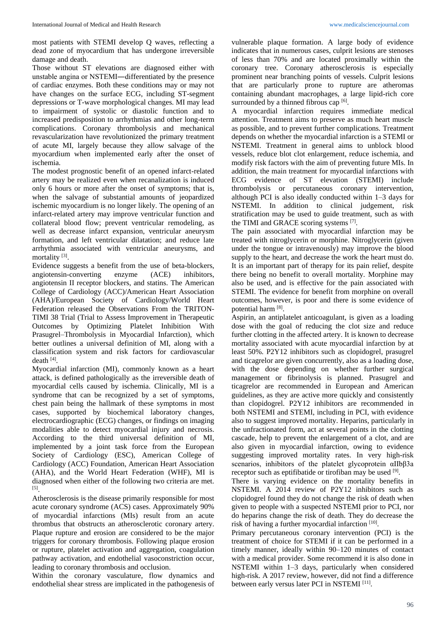most patients with STEMI develop Q waves, reflecting a dead zone of myocardium that has undergone irreversible damage and death.

Those without ST elevations are diagnosed either with unstable angina or NSTEMI―differentiated by the presence of cardiac enzymes. Both these conditions may or may not have changes on the surface ECG, including ST-segment depressions or T-wave morphological changes. MI may lead to impairment of systolic or diastolic function and to increased predisposition to arrhythmias and other long-term complications. Coronary thrombolysis and mechanical revascularization have revolutionized the primary treatment of acute MI, largely because they allow salvage of the myocardium when implemented early after the onset of ischemia.

The modest prognostic benefit of an opened infarct-related artery may be realized even when recanalization is induced only 6 hours or more after the onset of symptoms; that is, when the salvage of substantial amounts of jeopardized ischemic myocardium is no longer likely. The opening of an infarct-related artery may improve ventricular function and collateral blood flow; prevent ventricular remodeling, as well as decrease infarct expansion, ventricular aneurysm formation, and left ventricular dilatation; and reduce late arrhythmia associated with ventricular aneurysms, and mortality<sup>[3]</sup>.

Evidence suggests a benefit from the use of beta-blockers, angiotensin-converting enzyme (ACE) inhibitors, angiotensin II receptor blockers, and statins. The American College of Cardiology (ACC)/American Heart Association (AHA)/European Society of Cardiology/World Heart Federation released the Observations From the TRITON-TIMI 38 Trial (Trial to Assess Improvement in Therapeutic Outcomes by Optimizing Platelet Inhibition With Prasugrel–Thrombolysis in Myocardial Infarction), which better outlines a universal definition of MI, along with a classification system and risk factors for cardiovascular death [4] .

Myocardial infarction (MI), commonly known as a heart attack, is defined pathologically as the irreversible death of myocardial cells caused by ischemia. Clinically, MI is a syndrome that can be recognized by a set of symptoms, chest pain being the hallmark of these symptoms in most cases, supported by biochemical laboratory changes, electrocardiographic (ECG) changes, or findings on imaging modalities able to detect myocardial injury and necrosis. According to the third universal definition of MI, implemented by a joint task force from the European Society of Cardiology (ESC), American College of Cardiology (ACC) Foundation, American Heart Association (AHA), and the World Heart Federation (WHF), MI is diagnosed when either of the following two criteria are met. [5] .

Atherosclerosis is the disease primarily responsible for most acute coronary syndrome (ACS) cases. Approximately 90% of myocardial infarctions (MIs) result from an acute thrombus that obstructs an atherosclerotic coronary artery. Plaque rupture and erosion are considered to be the major triggers for coronary thrombosis. Following plaque erosion or rupture, platelet activation and aggregation, coagulation pathway activation, and endothelial vasoconstriction occur, leading to coronary thrombosis and occlusion.

Within the coronary vasculature, flow dynamics and endothelial shear stress are implicated in the pathogenesis of

vulnerable plaque formation. A large body of evidence indicates that in numerous cases, culprit lesions are stenoses of less than 70% and are located proximally within the coronary tree. Coronary atherosclerosis is especially prominent near branching points of vessels. Culprit lesions that are particularly prone to rupture are atheromas containing abundant macrophages, a large lipid-rich core surrounded by a thinned fibrous cap [6].

A myocardial infarction requires immediate medical attention. Treatment aims to preserve as much heart muscle as possible, and to prevent further complications. Treatment depends on whether the myocardial infarction is a STEMI or NSTEMI. Treatment in general aims to unblock blood vessels, reduce blot clot enlargement, reduce ischemia, and modify risk factors with the aim of preventing future MIs. In addition, the main treatment for myocardial infarctions with ECG evidence of ST elevation (STEMI) include thrombolysis or percutaneous coronary intervention, although PCI is also ideally conducted within 1–3 days for NSTEMI. In addition to clinical judgement, risk stratification may be used to guide treatment, such as with the TIMI and GRACE scoring systems [7].

The pain associated with myocardial infarction may be treated with nitroglycerin or morphine. Nitroglycerin (given under the tongue or intravenously) may improve the blood supply to the heart, and decrease the work the heart must do. It is an important part of therapy for its pain relief, despite there being no benefit to overall mortality. Morphine may also be used, and is effective for the pain associated with STEMI. The evidence for benefit from morphine on overall outcomes, however, is poor and there is some evidence of potential harm [8].

Aspirin, an antiplatelet anticoagulant, is given as a loading dose with the goal of reducing the clot size and reduce further clotting in the affected artery. It is known to decrease mortality associated with acute myocardial infarction by at least 50%. P2Y12 inhibitors such as clopidogrel, prasugrel and ticagrelor are given concurrently, also as a loading dose, with the dose depending on whether further surgical management or fibrinolysis is planned. Prasugrel and ticagrelor are recommended in European and American guidelines, as they are active more quickly and consistently than clopidogrel. P2Y12 inhibitors are recommended in both NSTEMI and STEMI, including in PCI, with evidence also to suggest improved mortality. Heparins, particularly in the unfractionated form, act at several points in the clotting cascade, help to prevent the enlargement of a clot, and are also given in myocardial infarction, owing to evidence suggesting improved mortality rates. In very high-risk scenarios, inhibitors of the platelet glycoprotein αIIbβ3a receptor such as eptifibatide or tirofiban may be used [9].

There is varying evidence on the mortality benefits in NSTEMI. A 2014 review of P2Y12 inhibitors such as clopidogrel found they do not change the risk of death when given to people with a suspected NSTEMI prior to PCI, nor do heparins change the risk of death. They do decrease the risk of having a further myocardial infarction [10].

Primary percutaneous coronary intervention (PCI) is the treatment of choice for STEMI if it can be performed in a timely manner, ideally within 90–120 minutes of contact with a medical provider. Some recommend it is also done in NSTEMI within 1–3 days, particularly when considered high-risk. A 2017 review, however, did not find a difference between early versus later PCI in NSTEMI<sup>[11]</sup>.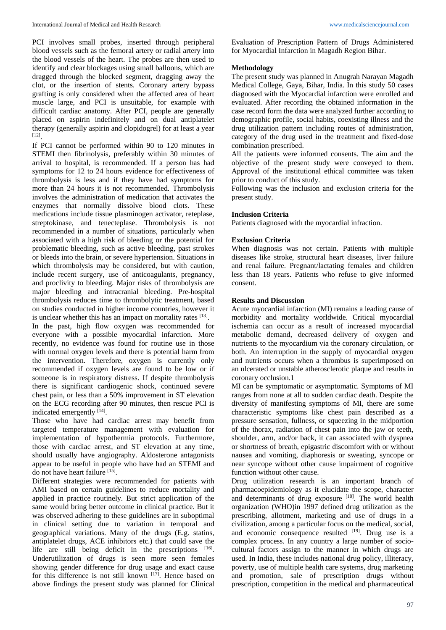PCI involves small probes, inserted through peripheral blood vessels such as the femoral artery or radial artery into the blood vessels of the heart. The probes are then used to identify and clear blockages using small balloons, which are dragged through the blocked segment, dragging away the clot, or the insertion of stents. Coronary artery bypass grafting is only considered when the affected area of heart muscle large, and PCI is unsuitable, for example with difficult cardiac anatomy. After PCI, people are generally placed on aspirin indefinitely and on dual antiplatelet therapy (generally aspirin and clopidogrel) for at least a year [12] .

If PCI cannot be performed within 90 to 120 minutes in STEMI then fibrinolysis, preferably within 30 minutes of arrival to hospital, is recommended. If a person has had symptoms for 12 to 24 hours evidence for effectiveness of thrombolysis is less and if they have had symptoms for more than 24 hours it is not recommended. Thrombolysis involves the administration of medication that activates the enzymes that normally dissolve blood clots. These medications include tissue plasminogen activator, reteplase, streptokinase, and tenecteplase. Thrombolysis is not recommended in a number of situations, particularly when associated with a high risk of bleeding or the potential for problematic bleeding, such as active bleeding, past strokes or bleeds into the brain, or severe hypertension. Situations in which thrombolysis may be considered, but with caution, include recent surgery, use of anticoagulants, pregnancy, and proclivity to bleeding. Major risks of thrombolysis are major bleeding and intracranial bleeding. Pre-hospital thrombolysis reduces time to thrombolytic treatment, based on studies conducted in higher income countries, however it is unclear whether this has an impact on mortality rates  $[13]$ .

In the past, high flow oxygen was recommended for everyone with a possible myocardial infarction. More recently, no evidence was found for routine use in those with normal oxygen levels and there is potential harm from the intervention. Therefore, oxygen is currently only recommended if oxygen levels are found to be low or if someone is in respiratory distress. If despite thrombolysis there is significant cardiogenic shock, continued severe chest pain, or less than a 50% improvement in ST elevation on the ECG recording after 90 minutes, then rescue PCI is indicated emergently [14].

Those who have had cardiac arrest may benefit from targeted temperature management with evaluation for implementation of hypothermia protocols. Furthermore, those with cardiac arrest, and ST elevation at any time, should usually have angiography. Aldosterone antagonists appear to be useful in people who have had an STEMI and do not have heart failure [15].

Different strategies were recommended for patients with AMI based on certain guidelines to reduce mortality and applied in practice routinely. But strict application of the same would bring better outcome in clinical practice. But it was observed adhering to these guidelines are in suboptimal in clinical setting due to variation in temporal and geographical variations. Many of the drugs (E.g. statins, antiplatelet drugs, ACE inhibitors etc.) that could save the life are still being deficit in the prescriptions [16]. Underutilization of drugs is seen more seen females showing gender difference for drug usage and exact cause for this difference is not still known [17]. Hence based on above findings the present study was planned for Clinical

Evaluation of Prescription Pattern of Drugs Administered for Myocardial Infarction in Magadh Region Bihar.

## **Methodology**

The present study was planned in Anugrah Narayan Magadh Medical College, Gaya, Bihar, India. In this study 50 cases diagnosed with the Myocardial infarction were enrolled and evaluated. After recording the obtained information in the case record form the data were analyzed further according to demographic profile, social habits, coexisting illness and the drug utilization pattern including routes of administration, category of the drug used in the treatment and fixed-dose combination prescribed.

All the patients were informed consents. The aim and the objective of the present study were conveyed to them. Approval of the institutional ethical committee was taken prior to conduct of this study.

Following was the inclusion and exclusion criteria for the present study.

# **Inclusion Criteria**

Patients diagnosed with the myocardial infraction.

## **Exclusion Criteria**

When diagnosis was not certain. Patients with multiple diseases like stroke, structural heart diseases, liver failure and renal failure. Pregnant/lactating females and children less than 18 years. Patients who refuse to give informed consent.

## **Results and Discussion**

Acute myocardial infarction (MI) remains a leading cause of morbidity and mortality worldwide. Critical myocardial ischemia can occur as a result of increased myocardial metabolic demand, decreased delivery of oxygen and nutrients to the myocardium via the coronary circulation, or both. An interruption in the supply of myocardial oxygen and nutrients occurs when a thrombus is superimposed on an ulcerated or unstable atherosclerotic plaque and results in coronary occlusion.1

MI can be symptomatic or asymptomatic. Symptoms of MI ranges from none at all to sudden cardiac death. Despite the diversity of manifesting symptoms of MI, there are some characteristic symptoms like chest pain described as a pressure sensation, fullness, or squeezing in the midportion of the thorax, radiation of chest pain into the jaw or teeth, shoulder, arm, and/or back, it can associated with dyspnea or shortness of breath, epigastric discomfort with or without nausea and vomiting, diaphoresis or sweating, syncope or near syncope without other cause impairment of cognitive function without other cause.

Drug utilization research is an important branch of pharmacoepidemiology as it elucidate the scope, character and determinants of drug exposure [18]. The world health organization (WHO)in 1997 defined drug utilization as the prescribing, allotment, marketing and use of drugs in a civilization, among a particular focus on the medical, social, and economic consequence resulted  $[19]$ . Drug use is a complex process. In any country a large number of sociocultural factors assign to the manner in which drugs are used. In India, these includes national drug policy, illiteracy, poverty, use of multiple health care systems, drug marketing and promotion, sale of prescription drugs without prescription, competition in the medical and pharmaceutical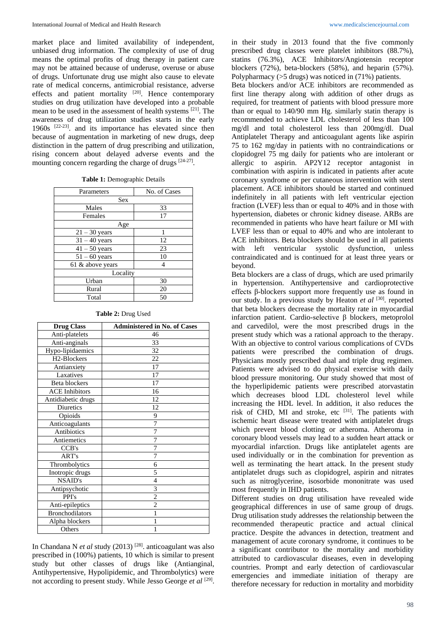market place and limited availability of independent, unbiased drug information. The complexity of use of drug means the optimal profits of drug therapy in patient care may not be attained because of underuse, overuse or abuse of drugs. Unfortunate drug use might also cause to elevate rate of medical concerns, antimicrobial resistance, adverse effects and patient mortality <sup>[20]</sup>. Hence contemporary studies on drug utilization have developed into a probable mean to be used in the assessment of health systems <sup>[21]</sup>. The awareness of drug utilization studies starts in the early 1960s [22-23] . and its importance has elevated since then because of augmentation in marketing of new drugs, deep distinction in the pattern of drug prescribing and utilization, rising concern about delayed adverse events and the mounting concern regarding the charge of drugs  $[24-27]$ .

|  |  | Table 1: Demographic Details |  |
|--|--|------------------------------|--|
|--|--|------------------------------|--|

| Parameters       | No. of Cases |  |  |  |
|------------------|--------------|--|--|--|
| Sex              |              |  |  |  |
| Males            | 33           |  |  |  |
| Females          | 17           |  |  |  |
| Age              |              |  |  |  |
| $21 - 30$ years  | 1            |  |  |  |
| $31 - 40$ years  | 12           |  |  |  |
| $41 - 50$ years  | 23           |  |  |  |
| $51 - 60$ years  | 10           |  |  |  |
| 61 & above years | 4            |  |  |  |
| Locality         |              |  |  |  |
| Urban            | 30           |  |  |  |
| Rural            | 20           |  |  |  |
| Total            | 50           |  |  |  |
|                  |              |  |  |  |

| <b>Drug Class</b>        | <b>Administered in No. of Cases</b> |  |
|--------------------------|-------------------------------------|--|
| Anti-platelets           | 46                                  |  |
| Anti-anginals            | 33                                  |  |
| Hypo-lipidaemics         | 32                                  |  |
| H <sub>2</sub> -Blockers | 22                                  |  |
| Antianxiety              | 17                                  |  |
| Laxatives                | 17                                  |  |
| Beta blockers            | 17                                  |  |
| <b>ACE</b> Inhibitors    | 16                                  |  |
| Antidiabetic drugs       | 12                                  |  |
| Diuretics                | 12                                  |  |
| Opioids                  | 9                                   |  |
| Anticoagulants           | 7                                   |  |
| <b>Antibiotics</b>       | 7                                   |  |
| Antiemetics              | 7                                   |  |
| CCB's                    | 7                                   |  |
| ART's                    | 7                                   |  |
| Thrombolytics            | 6                                   |  |
| Inotropic drugs          | 5                                   |  |
| <b>NSAID's</b>           | 4                                   |  |
| Antipsychotic            | 3                                   |  |
| PPI's                    | $\overline{c}$                      |  |
| Anti-epileptics          | $\overline{2}$                      |  |
| <b>Bronchodilators</b>   | 1                                   |  |
| Alpha blockers           |                                     |  |
| Others                   | 1                                   |  |

**Table 2:** Drug Used

In Chandana N *et al* study (2013) [28] . anticoagulant was also prescribed in (100%) patients, 10 which is similar to present study but other classes of drugs like (Antianginal, Antihypertensive, Hypolipidemic, and Thrombolytics) were not according to present study. While Jesso George et al <sup>[29]</sup>.

in their study in 2013 found that the five commonly prescribed drug classes were platelet inhibitors (88.7%), statins (76.3%), ACE Inhibitors/Angiotensin receptor blockers (72%), beta-blockers (58%), and heparin (57%). Polypharmacy (>5 drugs) was noticed in (71%) patients.

Beta blockers and/or ACE inhibitors are recommended as first line therapy along with addition of other drugs as required, for treatment of patients with blood pressure more than or equal to 140/90 mm Hg. similarly statin therapy is recommended to achieve LDL cholesterol of less than 100 mg/dl and total cholesterol less than 200mg/dl. Dual Antiplatelet Therapy and anticoagulant agents like aspirin 75 to 162 mg/day in patients with no contraindications or clopidogrel 75 mg daily for patients who are intolerant or allergic to aspirin. AP2Y12 receptor antagonist in combination with aspirin is indicated in patients after acute coronary syndrome or per cutaneous intervention with stent placement. ACE inhibitors should be started and continued indefinitely in all patients with left ventricular ejection fraction (LVEF) less than or equal to 40% and in those with hypertension, diabetes or chronic kidney disease. ARBs are recommended in patients who have heart failure or MI with LVEF less than or equal to 40% and who are intolerant to ACE inhibitors. Beta blockers should be used in all patients with left ventricular systolic dysfunction, unless contraindicated and is continued for at least three years or beyond.

Beta blockers are a class of drugs, which are used primarily in hypertension. Antihypertensive and cardioprotective effects β-blockers support more frequently use as found in our study. In a previous study by Heaton et al <sup>[30]</sup>. reported that beta blockers decrease the mortality rate in myocardial infarction patient. Cardio-selective β blockers, metoprolol and carvedilol, were the most prescribed drugs in the present study which was a rational approach to the therapy. With an objective to control various complications of CVDs patients were prescribed the combination of drugs. Physicians mostly prescribed dual and triple drug regimen. Patients were advised to do physical exercise with daily blood pressure monitoring. Our study showed that most of the hyperlipidemic patients were prescribed atorvastatin which decreases blood LDL cholesterol level while increasing the HDL level. In addition, it also reduces the risk of CHD, MI and stroke, etc  $[31]$ . The patients with ischemic heart disease were treated with antiplatelet drugs which prevent blood clotting or atheroma. Atheroma in coronary blood vessels may lead to a sudden heart attack or myocardial infarction. Drugs like antiplatelet agents are used individually or in the combination for prevention as well as terminating the heart attack. In the present study antiplatelet drugs such as clopidogrel, aspirin and nitrates such as nitroglycerine, isosorbide mononitrate was used most frequently in IHD patients.

Different studies on drug utilisation have revealed wide geographical differences in use of same group of drugs. Drug utilisation study addresses the relationship between the recommended therapeutic practice and actual clinical practice. Despite the advances in detection, treatment and management of acute coronary syndrome, it continues to be a significant contributor to the mortality and morbidity attributed to cardiovascular diseases, even in developing countries. Prompt and early detection of cardiovascular emergencies and immediate initiation of therapy are therefore necessary for reduction in mortality and morbidity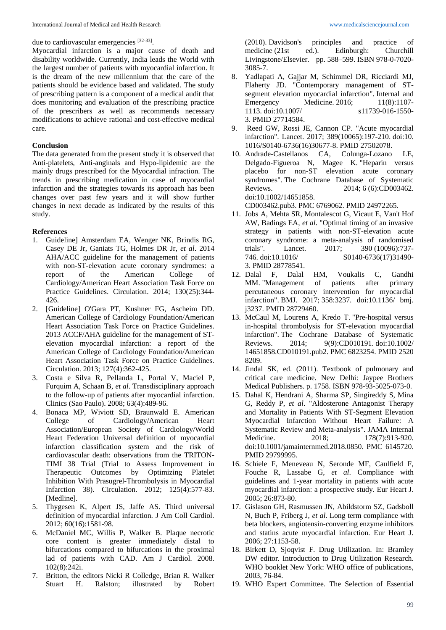due to cardiovascular emergencies [32-33].

Myocardial infarction is a major cause of death and disability worldwide. Currently, India leads the World with the largest number of patients with myocardial infarction. It is the dream of the new millennium that the care of the patients should be evidence based and validated. The study of prescribing pattern is a component of a medical audit that does monitoring and evaluation of the prescribing practice of the prescribers as well as recommends necessary modifications to achieve rational and cost-effective medical care.

# **Conclusion**

The data generated from the present study it is observed that Anti-platelets, Anti-anginals and Hypo-lipidemic are the mainly drugs prescribed for the Myocardial infraction. The trends in prescribing medication in case of myocardial infarction and the strategies towards its approach has been changes over past few years and it will show further changes in next decade as indicated by the results of this study.

### **References**

- 1. Guideline] Amsterdam EA, Wenger NK, Brindis RG, Casey DE Jr, Ganiats TG, Holmes DR Jr, *et al*. 2014 AHA/ACC guideline for the management of patients with non-ST-elevation acute coronary syndromes: a report of the American College of Cardiology/American Heart Association Task Force on Practice Guidelines. Circulation. 2014; 130(25):344- 426.
- 2. [Guideline] O'Gara PT, Kushner FG, Ascheim DD. American College of Cardiology Foundation/American Heart Association Task Force on Practice Guidelines. 2013 ACCF/AHA guideline for the management of STelevation myocardial infarction: a report of the American College of Cardiology Foundation/American Heart Association Task Force on Practice Guidelines. Circulation. 2013; 127(4):362-425.
- 3. Costa e Silva R, Pellanda L, Portal V, Maciel P, Furquim A, Schaan B, *et al*. Transdisciplinary approach to the follow-up of patients after myocardial infarction. Clinics (Sao Paulo). 2008; 63(4):489-96.
- 4. Bonaca MP, Wiviott SD, Braunwald E. American College of Cardiology/American Heart Association/European Society of Cardiology/World Heart Federation Universal definition of myocardial infarction classification system and the risk of cardiovascular death: observations from the TRITON-TIMI 38 Trial (Trial to Assess Improvement in Therapeutic Outcomes by Optimizing Platelet Inhibition With Prasugrel-Thrombolysis in Myocardial Infarction 38). Circulation. 2012; 125(4):577-83. [Medline].
- 5. Thygesen K, Alpert JS, Jaffe AS. Third universal definition of myocardial infarction. J Am Coll Cardiol. 2012; 60(16):1581-98.
- 6. McDaniel MC, Willis P, Walker B. Plaque necrotic core content is greater immediately distal to bifurcations compared to bifurcations in the proximal lad of patients with CAD. Am J Cardiol. 2008. 102(8):242i.
- 7. Britton, the editors Nicki R Colledge, Brian R. Walker Stuart H. Ralston; illustrated by Robert

(2010). Davidson's principles and practice of medicine (21st ed.). Edinburgh: Churchill Livingstone/Elsevier. pp. 588–599. ISBN 978-0-7020- 3085-7.

- 8. Yadlapati A, Gajjar M, Schimmel DR, Ricciardi MJ, Flaherty JD. "Contemporary management of STsegment elevation myocardial infarction". Internal and Emergency Medicine. 2016; 11(8):1107-1113. doi:10.1007/ s11739-016-1550- 3. PMID 27714584.
- 9. Reed GW, Rossi JE, Cannon CP. "Acute myocardial infarction". Lancet. 2017; 389(10065):197-210. doi:10. 1016/S0140-6736(16)30677-8. PMID 27502078.
- 10. Andrade-Castellanos CA, Colunga-Lozano LE, Delgado-Figueroa N, Magee K. "Heparin versus placebo for non-ST elevation acute coronary syndromes". The Cochrane Database of Systematic Reviews. 2014; 6 (6):CD003462. doi:10.1002/14651858.

CD003462.pub3. PMC 6769062. PMID 24972265.

- 11. Jobs A, Mehta SR, Montalescot G, Vicaut E, Van't Hof AW, Badings EA, *et al*. "Optimal timing of an invasive strategy in patients with non-ST-elevation acute coronary syndrome: a meta-analysis of randomised trials". Lancet. 2017; 390 (10096):737- 746. doi:10.1016/ S0140-6736(17)31490- 3. PMID 28778541.
- 12. Dalal F, Dalal HM, Voukalis C, Gandhi MM. "Management of patients after primary percutaneous coronary intervention for myocardial infarction". BMJ. 2017; 358:3237. doi:10.1136/ bmj. j3237. PMID 28729460.
- 13. McCaul M, Lourens A, Kredo T. "Pre-hospital versus in-hospital thrombolysis for ST-elevation myocardial infarction". The Cochrane Database of Systematic Reviews. 2014; 9(9):CD010191. doi:10.1002/ 14651858.CD010191.pub2. PMC 6823254. PMID 2520 8209.
- 14. Jindal SK, ed. (2011). Textbook of pulmonary and critical care medicine. New Delhi: Jaypee Brothers Medical Publishers. p. 1758. ISBN 978-93-5025-073-0.
- 15. Dahal K, Hendrani A, Sharma SP, Singireddy S, Mina G, Reddy P, *et al*. "Aldosterone Antagonist Therapy and Mortality in Patients With ST-Segment Elevation Myocardial Infarction Without Heart Failure: A Systematic Review and Meta-analysis". JAMA Internal Medicine. 2018; 178(7):913-920. doi:10.1001/jamainternmed.2018.0850. PMC 6145720. PMID 29799995.
- 16. Schiele F, Meneveau N, Seronde MF, Caulfield F, Fouche R, Lassabe G, *et al*. Compliance with guidelines and 1-year mortality in patients with acute myocardial infarction: a prospective study. Eur Heart J. 2005; 26:873-80.
- 17. Gislason GH, Rasmussen JN, Abildstorm SZ, Gadsboll N, Buch P, Friberg J, *et al*. Long term compliance with beta blockers, angiotensin-converting enzyme inhibitors and statins acute myocardial infarction. Eur Heart J. 2006; 27:1153-58.
- 18. Birkett D, Sjoqvist F. Drug Utilization. In: Bramley DW editor. Introduction to Drug Utilization Research. WHO booklet New York: WHO office of publications, 2003, 76-84.
- 19. WHO Expert Committee. The Selection of Essential